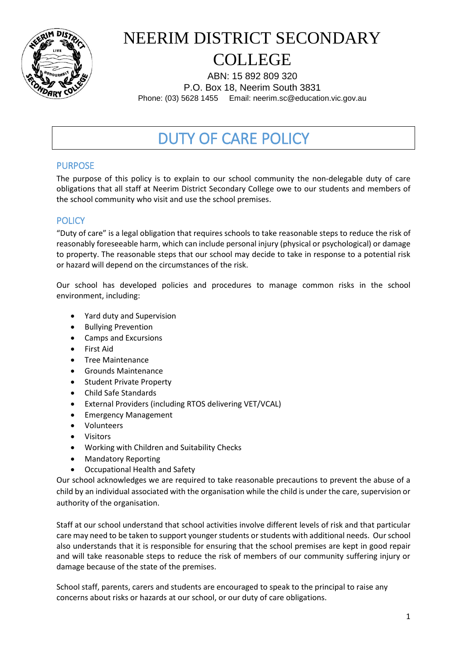

# NEERIM DISTRICT SECONDARY COLLEGE

ABN: 15 892 809 320 P.O. Box 18, Neerim South 3831 Phone: (03) 5628 1455 Email: neerim.sc@education.vic.gov.au

# DUTY OF CARE POLICY

## PURPOSE

The purpose of this policy is to explain to our school community the non-delegable duty of care obligations that all staff at Neerim District Secondary College owe to our students and members of the school community who visit and use the school premises.

## **POLICY**

"Duty of care" is a legal obligation that requires schools to take reasonable steps to reduce the risk of reasonably foreseeable harm, which can include personal injury (physical or psychological) or damage to property. The reasonable steps that our school may decide to take in response to a potential risk or hazard will depend on the circumstances of the risk.

Our school has developed policies and procedures to manage common risks in the school environment, including:

- Yard duty and Supervision
- Bullying Prevention
- Camps and Excursions
- First Aid
- Tree Maintenance
- Grounds Maintenance
- Student Private Property
- Child Safe Standards
- External Providers (including RTOS delivering VET/VCAL)
- **•** Emergency Management
- Volunteers
- Visitors
- Working with Children and Suitability Checks
- Mandatory Reporting
- Occupational Health and Safety

Our school acknowledges we are required to take reasonable precautions to prevent the abuse of a child by an individual associated with the organisation while the child is under the care, supervision or authority of the organisation.

Staff at our school understand that school activities involve different levels of risk and that particular care may need to be taken to support younger students or students with additional needs. Our school also understands that it is responsible for ensuring that the school premises are kept in good repair and will take reasonable steps to reduce the risk of members of our community suffering injury or damage because of the state of the premises.

School staff, parents, carers and students are encouraged to speak to the principal to raise any concerns about risks or hazards at our school, or our duty of care obligations.